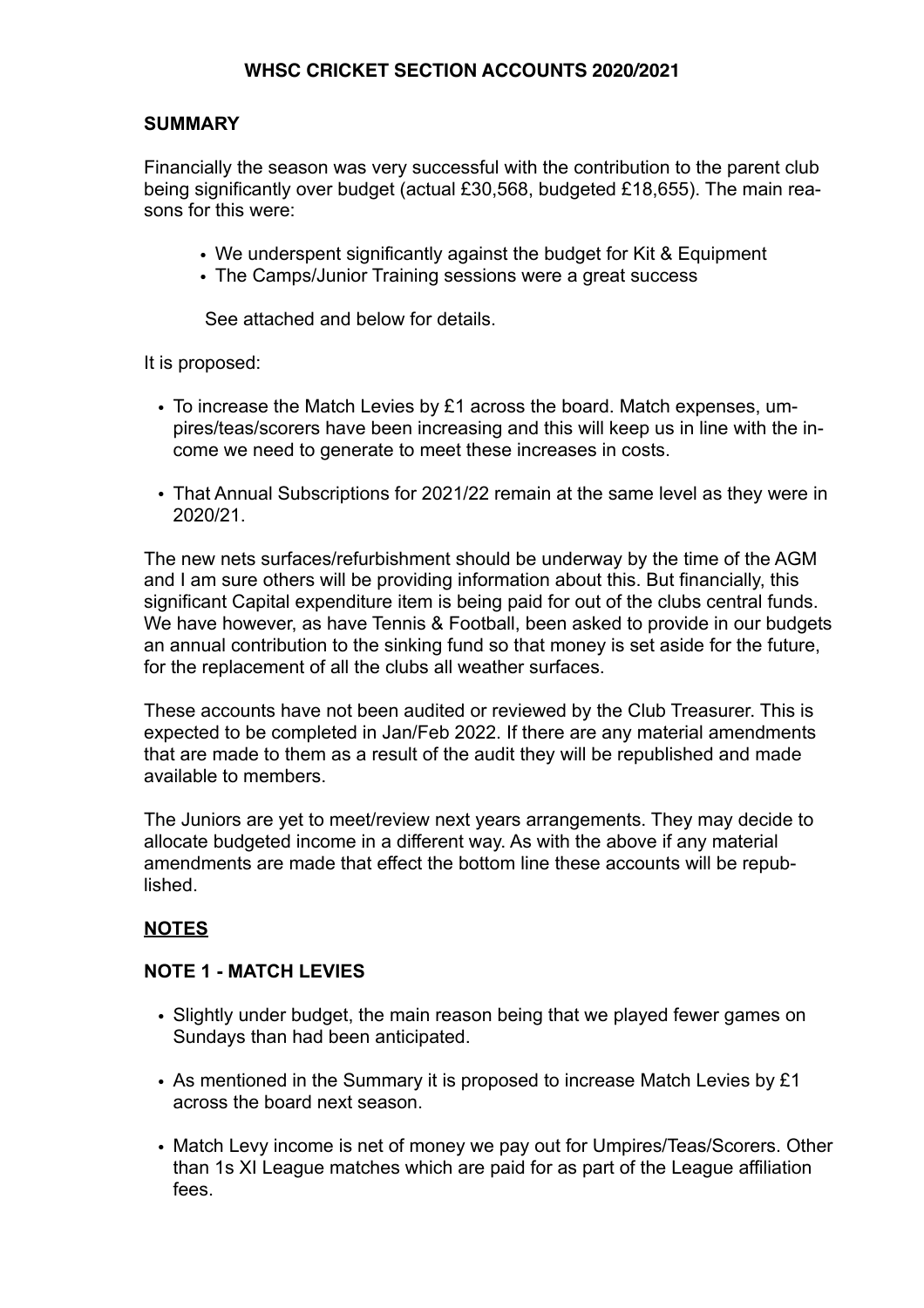# **WHSC CRICKET SECTION ACCOUNTS 2020/2021**

## **SUMMARY**

Financially the season was very successful with the contribution to the parent club being significantly over budget (actual £30,568, budgeted £18,655). The main reasons for this were:

- We underspent significantly against the budget for Kit & Equipment
- The Camps/Junior Training sessions were a great success

See attached and below for details.

It is proposed:

- To increase the Match Levies by £1 across the board. Match expenses, umpires/teas/scorers have been increasing and this will keep us in line with the income we need to generate to meet these increases in costs.
- That Annual Subscriptions for 2021/22 remain at the same level as they were in 2020/21.

The new nets surfaces/refurbishment should be underway by the time of the AGM and I am sure others will be providing information about this. But financially, this significant Capital expenditure item is being paid for out of the clubs central funds. We have however, as have Tennis & Football, been asked to provide in our budgets an annual contribution to the sinking fund so that money is set aside for the future, for the replacement of all the clubs all weather surfaces.

These accounts have not been audited or reviewed by the Club Treasurer. This is expected to be completed in Jan/Feb 2022. If there are any material amendments that are made to them as a result of the audit they will be republished and made available to members.

The Juniors are yet to meet/review next years arrangements. They may decide to allocate budgeted income in a different way. As with the above if any material amendments are made that effect the bottom line these accounts will be republished.

# **NOTES**

#### **NOTE 1 - MATCH LEVIES**

- Slightly under budget, the main reason being that we played fewer games on Sundays than had been anticipated.
- As mentioned in the Summary it is proposed to increase Match Levies by £1 across the board next season.
- Match Levy income is net of money we pay out for Umpires/Teas/Scorers. Other than 1s XI League matches which are paid for as part of the League affiliation fees.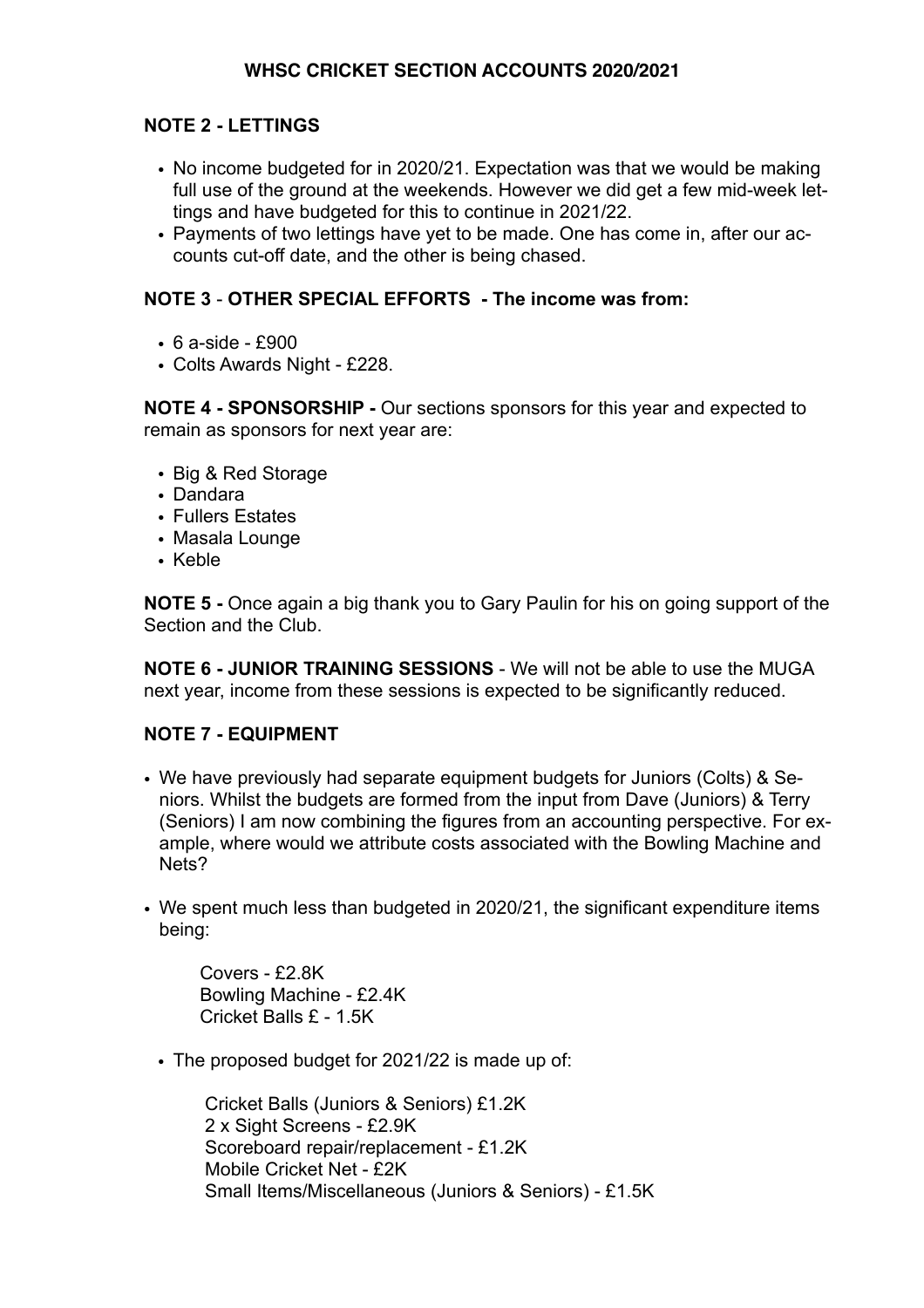# **NOTE 2 - LETTINGS**

- No income budgeted for in 2020/21. Expectation was that we would be making full use of the ground at the weekends. However we did get a few mid-week lettings and have budgeted for this to continue in 2021/22.
- Payments of two lettings have yet to be made. One has come in, after our accounts cut-off date, and the other is being chased.

## **NOTE 3** - **OTHER SPECIAL EFFORTS - The income was from:**

- 6 a-side £900
- Colts Awards Night £228.

**NOTE 4 - SPONSORSHIP -** Our sections sponsors for this year and expected to remain as sponsors for next year are:

- Big & Red Storage
- Dandara
- Fullers Estates
- Masala Lounge
- Keble

**NOTE 5 -** Once again a big thank you to Gary Paulin for his on going support of the Section and the Club.

**NOTE 6 - JUNIOR TRAINING SESSIONS** - We will not be able to use the MUGA next year, income from these sessions is expected to be significantly reduced.

# **NOTE 7 - EQUIPMENT**

- We have previously had separate equipment budgets for Juniors (Colts) & Seniors. Whilst the budgets are formed from the input from Dave (Juniors) & Terry (Seniors) I am now combining the figures from an accounting perspective. For example, where would we attribute costs associated with the Bowling Machine and Nets?
- We spent much less than budgeted in 2020/21, the significant expenditure items being:

Covers - £2.8K Bowling Machine - £2.4K Cricket Balls £ - 1.5K

• The proposed budget for 2021/22 is made up of:

Cricket Balls (Juniors & Seniors) £1.2K 2 x Sight Screens - £2.9K Scoreboard repair/replacement - £1.2K Mobile Cricket Net - £2K Small Items/Miscellaneous (Juniors & Seniors) - £1.5K